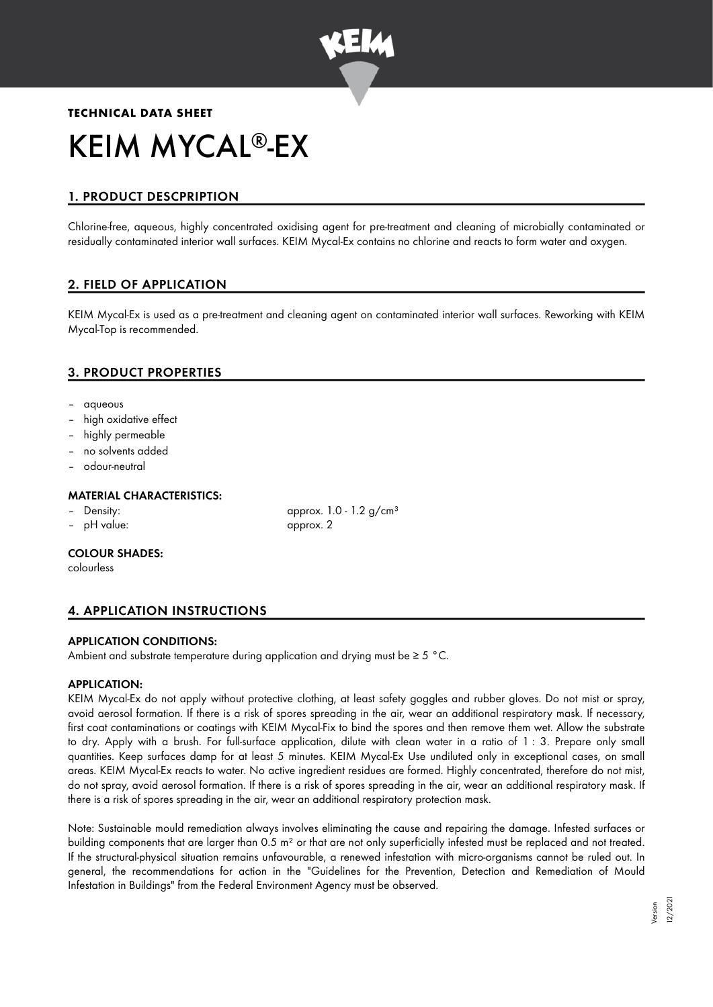

# **TECHNICAL DATA SHEET** KEIM MYCAL®-EX

# 1. PRODUCT DESCPRIPTION

Chlorine-free, aqueous, highly concentrated oxidising agent for pre-treatment and cleaning of microbially contaminated or residually contaminated interior wall surfaces. KEIM Mycal-Ex contains no chlorine and reacts to form water and oxygen.

# 2. FIELD OF APPLICATION

KEIM Mycal-Ex is used as a pre-treatment and cleaning agent on contaminated interior wall surfaces. Reworking with KEIM Mycal-Top is recommended.

# 3. PRODUCT PROPERTIES

- aqueous
- high oxidative effect
- highly permeable
- no solvents added
- odour-neutral

# MATERIAL CHARACTERISTICS:

- 
- pH value: approx. 2

– Density: approx. 1.0 - 1.2 g/cm<sup>3</sup>

#### COLOUR SHADES:

colourless

# 4. APPLICATION INSTRUCTIONS

# APPLICATION CONDITIONS:

Ambient and substrate temperature during application and drying must be ≥ 5 °C.

#### APPLICATION:

KEIM Mycal-Ex do not apply without protective clothing, at least safety goggles and rubber gloves. Do not mist or spray, avoid aerosol formation. If there is a risk of spores spreading in the air, wear an additional respiratory mask. If necessary, first coat contaminations or coatings with KEIM Mycal-Fix to bind the spores and then remove them wet. Allow the substrate to dry. Apply with a brush. For full-surface application, dilute with clean water in a ratio of 1 : 3. Prepare only small quantities. Keep surfaces damp for at least 5 minutes. KEIM Mycal-Ex Use undiluted only in exceptional cases, on small areas. KEIM Mycal-Ex reacts to water. No active ingredient residues are formed. Highly concentrated, therefore do not mist, do not spray, avoid aerosol formation. If there is a risk of spores spreading in the air, wear an additional respiratory mask. If there is a risk of spores spreading in the air, wear an additional respiratory protection mask.

Note: Sustainable mould remediation always involves eliminating the cause and repairing the damage. Infested surfaces or building components that are larger than 0.5 m<sup>2</sup> or that are not only superficially infested must be replaced and not treated. If the structural-physical situation remains unfavourable, a renewed infestation with micro-organisms cannot be ruled out. In general, the recommendations for action in the "Guidelines for the Prevention, Detection and Remediation of Mould Infestation in Buildings" from the Federal Environment Agency must be observed.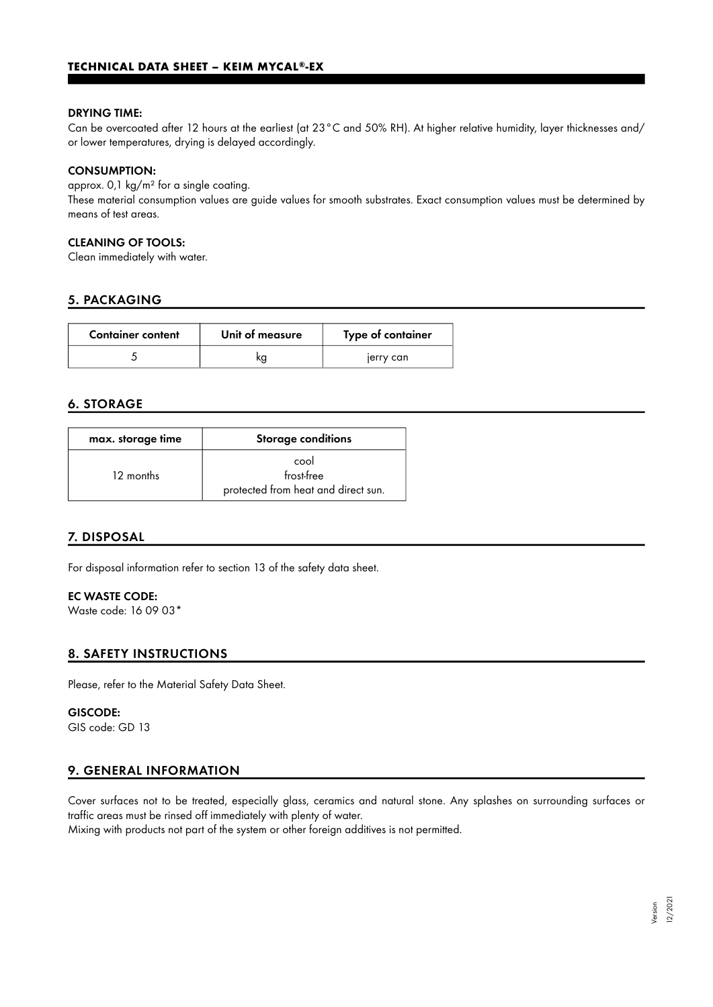#### DRYING TIME:

Can be overcoated after 12 hours at the earliest (at 23°C and 50% RH). At higher relative humidity, layer thicknesses and/ or lower temperatures, drying is delayed accordingly.

#### CONSUMPTION:

approx. 0,1 kg/m² for a single coating. These material consumption values are guide values for smooth substrates. Exact consumption values must be determined by means of test areas.

## CLEANING OF TOOLS:

Clean immediately with water.

## 5. PACKAGING

| <b>Container content</b> | Unit of measure | Type of container |
|--------------------------|-----------------|-------------------|
|                          |                 | jerry can         |

#### 6. STORAGE

| max. storage time | <b>Storage conditions</b>                                 |
|-------------------|-----------------------------------------------------------|
| 12 months         | cool<br>frost-free<br>protected from heat and direct sun. |

# 7. DISPOSAL

For disposal information refer to section 13 of the safety data sheet.

## EC WASTE CODE:

Waste code: 16 09 03\*

# 8. SAFETY INSTRUCTIONS

Please, refer to the Material Safety Data Sheet.

## GISCODE:

GIS code: GD 13

#### 9. GENERAL INFORMATION

Cover surfaces not to be treated, especially glass, ceramics and natural stone. Any splashes on surrounding surfaces or traffic areas must be rinsed off immediately with plenty of water.

Mixing with products not part of the system or other foreign additives is not permitted.